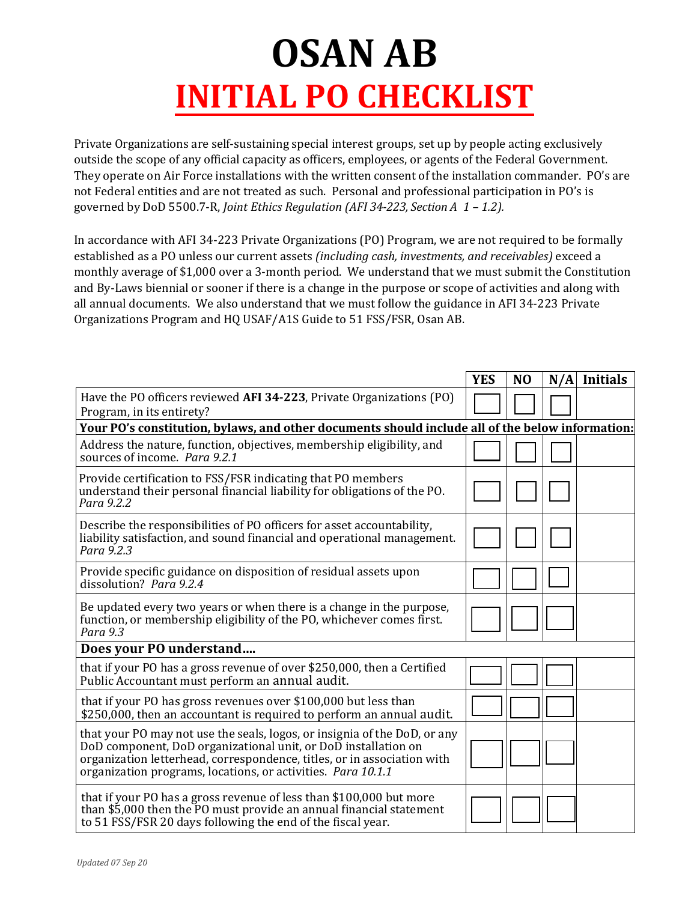## **OSAN AB INITIAL PO CHECKLIST**

Private Organizations are self-sustaining special interest groups, set up by people acting exclusively outside the scope of any official capacity as officers, employees, or agents of the Federal Government. They operate on Air Force installations with the written consent of the installation commander. PO's are not Federal entities and are not treated as such. Personal and professional participation in PO's is governed by DoD 5500.7-R, *Joint Ethics Regulation (AFI 34-223, Section A 1 – 1.2).*

In accordance with AFI 34-223 Private Organizations (PO) Program, we are not required to be formally established as a PO unless our current assets *(including cash, investments, and receivables)* exceed a monthly average of \$1,000 over a 3-month period. We understand that we must submit the Constitution and By-Laws biennial or sooner if there is a change in the purpose or scope of activities and along with all annual documents. We also understand that we must follow the guidance in AFI 34-223 Private Organizations Program and HQ USAF/A1S Guide to 51 FSS/FSR, Osan AB.

|                                                                                                                                                                                                                                                                                        | <b>YES</b> | N <sub>O</sub> |  | $N/A$ Initials |
|----------------------------------------------------------------------------------------------------------------------------------------------------------------------------------------------------------------------------------------------------------------------------------------|------------|----------------|--|----------------|
| Have the PO officers reviewed AFI 34-223, Private Organizations (PO)<br>Program, in its entirety?                                                                                                                                                                                      |            |                |  |                |
| Your PO's constitution, bylaws, and other documents should include all of the below information:                                                                                                                                                                                       |            |                |  |                |
| Address the nature, function, objectives, membership eligibility, and<br>sources of income. Para 9.2.1                                                                                                                                                                                 |            |                |  |                |
| Provide certification to FSS/FSR indicating that PO members<br>understand their personal financial liability for obligations of the PO.<br>Para 9.2.2                                                                                                                                  |            |                |  |                |
| Describe the responsibilities of PO officers for asset accountability,<br>liability satisfaction, and sound financial and operational management.<br>Para 9.2.3                                                                                                                        |            |                |  |                |
| Provide specific guidance on disposition of residual assets upon<br>dissolution? Para 9.2.4                                                                                                                                                                                            |            |                |  |                |
| Be updated every two years or when there is a change in the purpose,<br>function, or membership eligibility of the PO, whichever comes first.<br>Para 9.3                                                                                                                              |            |                |  |                |
| Does your PO understand                                                                                                                                                                                                                                                                |            |                |  |                |
| that if your PO has a gross revenue of over \$250,000, then a Certified<br>Public Accountant must perform an annual audit.                                                                                                                                                             |            |                |  |                |
| that if your PO has gross revenues over \$100,000 but less than<br>\$250,000, then an accountant is required to perform an annual audit.                                                                                                                                               |            |                |  |                |
| that your PO may not use the seals, logos, or insignia of the DoD, or any<br>DoD component, DoD organizational unit, or DoD installation on<br>organization letterhead, correspondence, titles, or in association with<br>organization programs, locations, or activities. Para 10.1.1 |            |                |  |                |
| that if your PO has a gross revenue of less than \$100,000 but more<br>than \$5,000 then the PO must provide an annual financial statement<br>to 51 FSS/FSR 20 days following the end of the fiscal year.                                                                              |            |                |  |                |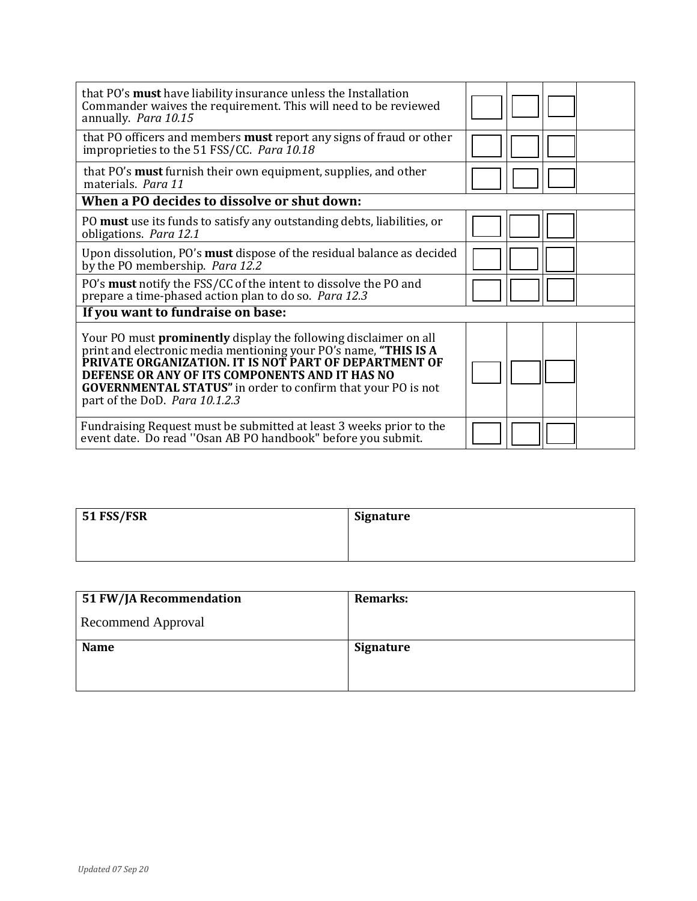| that PO's <b>must</b> have liability insurance unless the Installation<br>Commander waives the requirement. This will need to be reviewed<br>annually. Para 10.15                                                                                                                                                                                               |  |  |  |  |
|-----------------------------------------------------------------------------------------------------------------------------------------------------------------------------------------------------------------------------------------------------------------------------------------------------------------------------------------------------------------|--|--|--|--|
| that PO officers and members <b>must</b> report any signs of fraud or other<br>improprieties to the 51 FSS/CC. Para 10.18                                                                                                                                                                                                                                       |  |  |  |  |
| that PO's must furnish their own equipment, supplies, and other<br>materials. Para 11                                                                                                                                                                                                                                                                           |  |  |  |  |
| When a PO decides to dissolve or shut down:                                                                                                                                                                                                                                                                                                                     |  |  |  |  |
| PO must use its funds to satisfy any outstanding debts, liabilities, or<br>obligations. Para 12.1                                                                                                                                                                                                                                                               |  |  |  |  |
| Upon dissolution, PO's <b>must</b> dispose of the residual balance as decided<br>by the PO membership. Para 12.2                                                                                                                                                                                                                                                |  |  |  |  |
| PO's must notify the FSS/CC of the intent to dissolve the PO and<br>prepare a time-phased action plan to do so. Para 12.3                                                                                                                                                                                                                                       |  |  |  |  |
| If you want to fundraise on base:                                                                                                                                                                                                                                                                                                                               |  |  |  |  |
| Your PO must <b>prominently</b> display the following disclaimer on all<br>print and electronic media mentioning your PO's name, "THIS IS A<br>PRIVATE ORGANIZATION. IT IS NOT PART OF DEPARTMENT OF<br>DEFENSE OR ANY OF ITS COMPONENTS AND IT HAS NO<br><b>GOVERNMENTAL STATUS"</b> in order to confirm that your PO is not<br>part of the DoD. Para 10.1.2.3 |  |  |  |  |
| Fundraising Request must be submitted at least 3 weeks prior to the<br>event date. Do read "Osan AB PO handbook" before you submit.                                                                                                                                                                                                                             |  |  |  |  |

| $51$ FSS/FSR | Signature |
|--------------|-----------|
|              |           |
|              |           |

| 51 FW/JA Recommendation   | <b>Remarks:</b>  |
|---------------------------|------------------|
| <b>Recommend Approval</b> |                  |
| <b>Name</b>               | <b>Signature</b> |
|                           |                  |
|                           |                  |